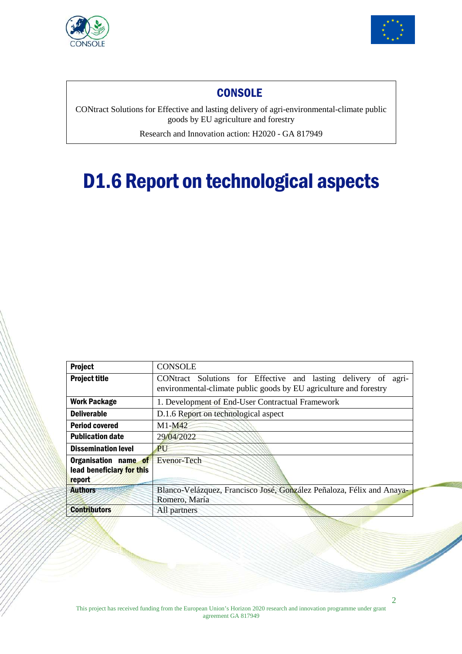



## **CONSOLE**

CONtract Solutions for Effective and lasting delivery of agri-environmental-climate public goods by EU agriculture and forestry

Research and Innovation action: H2020 - GA 817949

# D1.6 Report on technological aspects

| <b>Project</b>                                              | <b>CONSOLE</b>                                                                                                                         |  |  |
|-------------------------------------------------------------|----------------------------------------------------------------------------------------------------------------------------------------|--|--|
| <b>Project title</b>                                        | CONtract Solutions for Effective and lasting delivery of<br>agri-<br>environmental-climate public goods by EU agriculture and forestry |  |  |
| <b>Work Package</b>                                         | 1. Development of End-User Contractual Framework                                                                                       |  |  |
| <b>Deliverable</b>                                          | D.1.6 Report on technological aspect                                                                                                   |  |  |
| <b>Period covered</b>                                       | $M1-M42$                                                                                                                               |  |  |
| <b>Publication date</b>                                     | 29/04/2022                                                                                                                             |  |  |
| <b>Dissemination level</b>                                  | PU                                                                                                                                     |  |  |
| Organisation name of<br>lead beneficiary for this<br>report | <b>Evenor-Tech</b>                                                                                                                     |  |  |
| <b>Authors</b>                                              | Blanco-Velázquez, Francisco José, González Peñaloza, Félix and Anaya-<br>Romero, María                                                 |  |  |
| <b>Contributors</b>                                         | All partners                                                                                                                           |  |  |

2

**September 1888**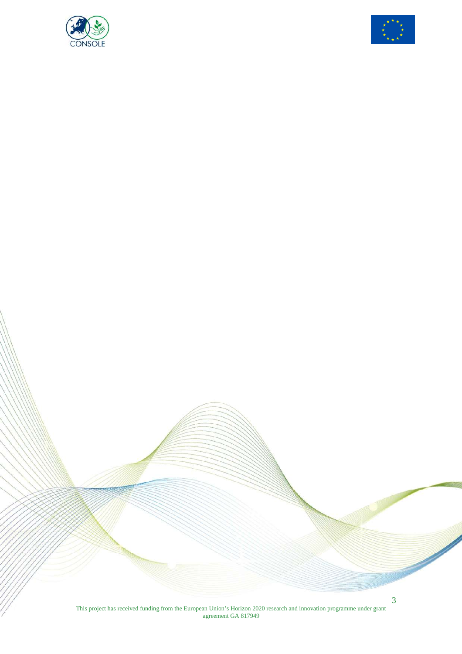



d and de la distribution de la distribution de la distribution de la distribution de la distribution de la distribution de la distribution de la distribution de la distribution de la distribution de la distribution de la d

3 This project has received funding from the European Union's Horizon 2020 research and innovation programme under grant agreement GA 817949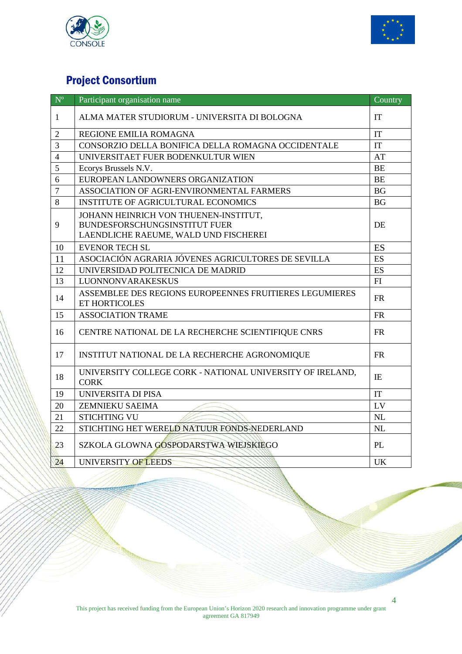



## Project Consortium

| $N^{\circ}$    | Participant organisation name                                                                                   | Country   |
|----------------|-----------------------------------------------------------------------------------------------------------------|-----------|
| $\mathbf{1}$   | ALMA MATER STUDIORUM - UNIVERSITA DI BOLOGNA<br><b>IT</b>                                                       |           |
| $\overline{2}$ | REGIONE EMILIA ROMAGNA                                                                                          |           |
| 3              | CONSORZIO DELLA BONIFICA DELLA ROMAGNA OCCIDENTALE                                                              | IT        |
| $\overline{4}$ | UNIVERSITAET FUER BODENKULTUR WIEN                                                                              | AT        |
| 5              | Ecorys Brussels N.V.                                                                                            | <b>BE</b> |
| 6              | EUROPEAN LANDOWNERS ORGANIZATION                                                                                | <b>BE</b> |
| $\overline{7}$ | ASSOCIATION OF AGRI-ENVIRONMENTAL FARMERS                                                                       | <b>BG</b> |
| 8              | INSTITUTE OF AGRICULTURAL ECONOMICS                                                                             | <b>BG</b> |
| 9              | JOHANN HEINRICH VON THUENEN-INSTITUT,<br>BUNDESFORSCHUNGSINSTITUT FUER<br>LAENDLICHE RAEUME, WALD UND FISCHEREI | DE        |
| 10             | <b>EVENOR TECH SL</b>                                                                                           | <b>ES</b> |
| 11             | ASOCIACIÓN AGRARIA JÓVENES AGRICULTORES DE SEVILLA                                                              | <b>ES</b> |
| 12             | UNIVERSIDAD POLITECNICA DE MADRID                                                                               | <b>ES</b> |
| 13             | <b>LUONNONVARAKESKUS</b>                                                                                        | FI        |
| 14             | ASSEMBLEE DES REGIONS EUROPEENNES FRUITIERES LEGUMIERES<br>ET HORTICOLES                                        | <b>FR</b> |
| 15             | <b>ASSOCIATION TRAME</b>                                                                                        | <b>FR</b> |
| 16             | CENTRE NATIONAL DE LA RECHERCHE SCIENTIFIQUE CNRS                                                               | <b>FR</b> |
| 17             | INSTITUT NATIONAL DE LA RECHERCHE AGRONOMIQUE                                                                   | <b>FR</b> |
| 18             | UNIVERSITY COLLEGE CORK - NATIONAL UNIVERSITY OF IRELAND,<br><b>CORK</b>                                        | IE        |
| 19             | UNIVERSITA DI PISA                                                                                              | IT        |
| 20             | <b>ZEMNIEKU SAEIMA</b>                                                                                          | LV        |
| 21             | <b>STICHTING VU</b>                                                                                             | NL        |
| 22             | STICHTING HET WERELD NATUUR FONDS-NEDERLAND                                                                     | NL        |
| 23             | SZKOLA GLOWNA GOSPODARSTWA WIEJSKIEGO                                                                           | PL        |
| 24             | UNIVERSITY OF LEEDS                                                                                             | <b>UK</b> |

4

d and de la distribution de la distribution de la distribution de la distribution de la distribution de la distribution de la distribution de la distribution de la distribution de la distribution de la distribution de la d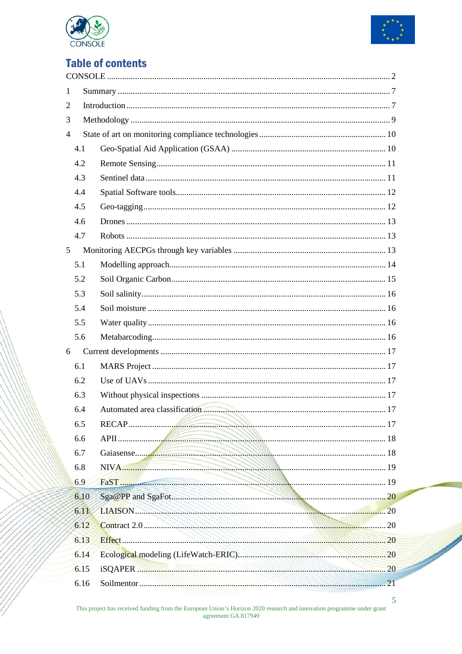



## **Table of contents**

| $\mathbf{1}$   |      |                                  |                    |
|----------------|------|----------------------------------|--------------------|
| $\overline{c}$ |      |                                  |                    |
| 3              |      |                                  |                    |
| $\overline{4}$ |      |                                  |                    |
|                | 4.1  |                                  |                    |
|                | 4.2  |                                  |                    |
|                | 4.3  |                                  |                    |
|                | 4.4  |                                  |                    |
|                | 4.5  |                                  |                    |
|                | 4.6  |                                  |                    |
|                | 4.7  |                                  |                    |
| 5              |      |                                  |                    |
|                | 5.1  |                                  |                    |
|                | 5.2  |                                  |                    |
|                | 5.3  |                                  |                    |
|                | 5.4  |                                  |                    |
|                | 5.5  |                                  |                    |
|                | 5.6  |                                  |                    |
| 6              |      |                                  |                    |
|                | 6.1  |                                  |                    |
|                | 6.2  |                                  |                    |
|                | 6.3  |                                  |                    |
|                | 6.4  | Automated area classification 27 |                    |
|                | 6.5  |                                  |                    |
|                | 6.6  |                                  |                    |
|                | 6.7  | Gaiasense 18                     |                    |
|                | 6.8  | NIVA 2000 19                     |                    |
|                | 6.9  | FaST 19                          | <b>ANTIQUE CAR</b> |
|                | 6.10 |                                  |                    |
|                | 6.11 | LIAISON 20                       |                    |
|                | 6.12 |                                  |                    |
|                | 6.13 |                                  |                    |
|                | 6.14 |                                  |                    |
|                | 6.15 | iSQAPER 20                       |                    |
|                | 6.16 |                                  |                    |
|                |      |                                  |                    |

5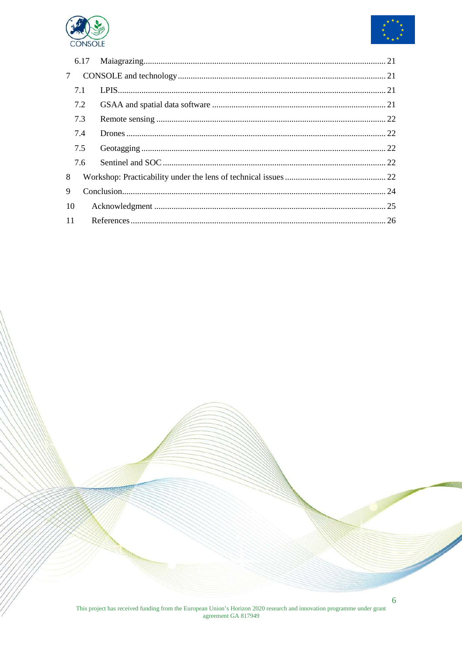



| $7^{\circ}$ |     |  |
|-------------|-----|--|
|             | 7.1 |  |
|             | 7.2 |  |
|             | 7.3 |  |
|             | 7.4 |  |
|             | 7.5 |  |
|             | 7.6 |  |
| 8           |     |  |
| 9           |     |  |
| 10          |     |  |
| 11          |     |  |
|             |     |  |

6

**September 1888**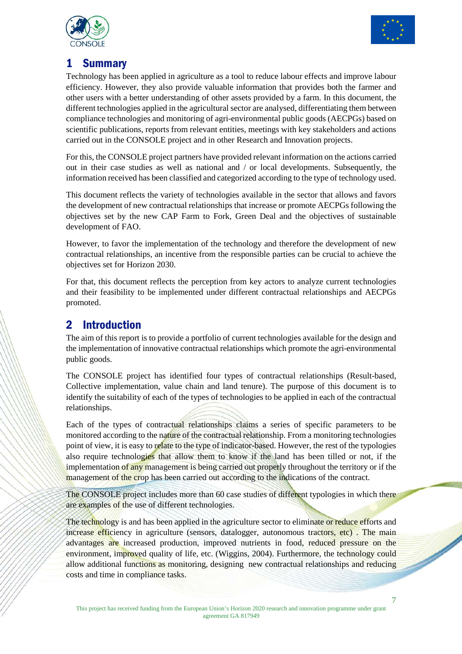



## 1 Summary

Technology has been applied in agriculture as a tool to reduce labour effects and improve labour efficiency. However, they also provide valuable information that provides both the farmer and other users with a better understanding of other assets provided by a farm. In this document, the different technologies applied in the agricultural sector are analysed, differentiating them between compliance technologies and monitoring of agri-environmental public goods (AECPGs) based on scientific publications, reports from relevant entities, meetings with key stakeholders and actions carried out in the CONSOLE project and in other Research and Innovation projects.

For this, the CONSOLE project partners have provided relevant information on the actions carried out in their case studies as well as national and  $/$  or local developments. Subsequently, the information received has been classified and categorized according to the type of technology used.

This document reflects the variety of technologies available in the sector that allows and favors the development of new contractual relationships that increase or promote AECPGs following the objectives set by the new CAP Farm to Fork, Green Deal and the objectives of sustainable development of FAO.

However, to favor the implementation of the technology and therefore the development of new contractual relationships, an incentive from the responsible parties can be crucial to achieve the objectives set for Horizon 2030.

For that, this document reflects the perception from key actors to analyze current technologies and their feasibility to be implemented under different contractual relationships and AECPGs promoted.

## 2 Introduction

The aim of this report is to provide a portfolio of current technologies available for the design and the implementation of innovative contractual relationships which promote the agri-environmental public goods.

The CONSOLE project has identified four types of contractual relationships (Result-based, Collective implementation, value chain and land tenure). The purpose of this document is to identify the suitability of each of the types of technologies to be applied in each of the contractual relationships.

Each of the types of contractual relationships claims a series of specific parameters to be monitored according to the nature of the contractual relationship. From a monitoring technologies point of view, it is easy to relate to the type of indicator-based. However, the rest of the typologies also require technologies that allow them to know if the land has been tilled or not, if the implementation of any management is being carried out properly throughout the territory or if the management of the crop has been carried out according to the indications of the contract.

The CONSOLE project includes more than 60 case studies of different typologies in which there are examples of the use of different technologies.

The technology is and has been applied in the agriculture sector to eliminate or reduce efforts and increase efficiency in agriculture (sensors, datalogger, autonomous tractors, etc). The main advantages are increased production, improved nutrients in food, reduced pressure on the environment, improved quality of life, etc. (Wiggins, 2004). Furthermore, the technology could allow additional functions as monitoring, designing new contractual relationships and reducing costs and time in compliance tasks.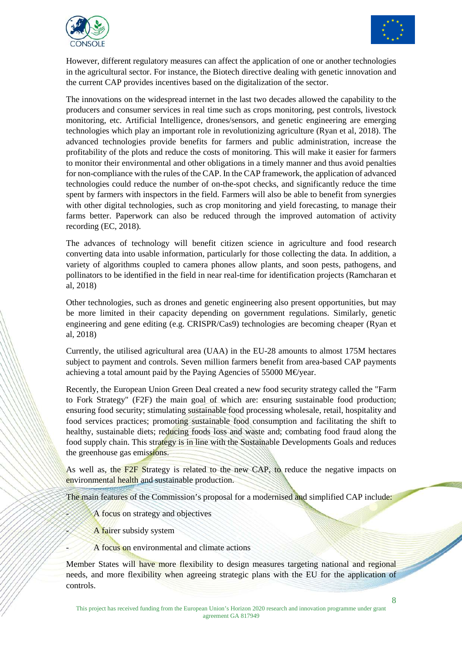



However, different regulatory measures can affect the application of one or another technologies in the agricultural sector. For instance, the Biotech directive dealing with genetic innovation and the current CAP provides incentives based on the digitalization of the sector.

The innovations on the widespread internet in the last two decades allowed the capability to the producers and consumer services in real time such as crops monitoring, pest controls, livestock monitoring, etc. Artificial Intelligence, drones/sensors, and genetic engineering are emerging technologies which play an important role in revolutionizing agriculture (Ryan et al, 2018). The advanced technologies provide benefits for farmers and public administration, increase the profitability of the plots and reduce the costs of monitoring. This will make it easier for farmers to monitor their environmental and other obligations in a timely manner and thus avoid penalties for non-compliance with the rules of the CAP. In the CAP framework, the application of advanced technologies could reduce the number of on-the-spot checks, and significantly reduce the time spent by farmers with inspectors in the field. Farmers will also be able to benefit from synergies with other digital technologies, such as crop monitoring and yield forecasting, to manage their farms better. Paperwork can also be reduced through the improved automation of activity recording (EC, 2018).

The advances of technology will benefit citizen science in agriculture and food research converting data into usable information, particularly for those collecting the data. In addition, a variety of algorithms coupled to camera phones allow plants, and soon pests, pathogens, and pollinators to be identified in the field in near real-time for identification projects (Ramcharan et al, 2018)

Other technologies, such as drones and genetic engineering also present opportunities, but may be more limited in their capacity depending on government regulations. Similarly, genetic engineering and gene editing (e.g. CRISPR/Cas9) technologies are becoming cheaper (Ryan et al, 2018)

Currently, the utilised agricultural area (UAA) in the EU-28 amounts to almost 175M hectares subject to payment and controls. Seven million farmers benefit from area-based CAP payments achieving a total amount paid by the Paying Agencies of 55000 M€/year.

Recently, the European Union Green Deal created a new food security strategy called the "Farm to Fork Strategy" (F2F) the main goal of which are: ensuring sustainable food production; ensuring food security; stimulating sustainable food processing wholesale, retail, hospitality and food services practices; promoting sustainable food consumption and facilitating the shift to healthy, sustainable diets; reducing foods loss and waste and; combating food fraud along the food supply chain. This strategy is in line with the Sustainable Developments Goals and reduces the greenhouse gas emissions.

As well as, the F2F Strategy is related to the new CAP, to reduce the negative impacts on environmental health and sustainable production.

The main features of the Commission's proposal for a modernised and simplified CAP include:

A focus on strategy and objectives

A fairer subsidy system

A focus on environmental and climate actions

Member States will have more flexibility to design measures targeting national and regional needs, and more flexibility when agreeing strategic plans with the EU for the application of controls.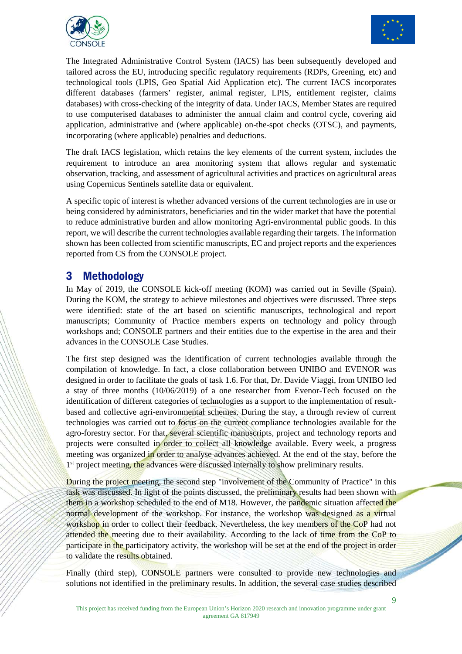



The Integrated Administrative Control System (IACS) has been subsequently developed and tailored across the EU, introducing specific regulatory requirements (RDPs, Greening, etc) and technological tools (LPIS, Geo Spatial Aid Application etc). The current IACS incorporates different databases (farmers' register, animal register, LPIS, entitlement register, claims databases) with cross-checking of the integrity of data. Under IACS, Member States are required to use computerised databases to administer the annual claim and control cycle, covering aid application, administrative and (where applicable) on-the-spot checks (OTSC), and payments, incorporating (where applicable) penalties and deductions.

The draft IACS legislation, which retains the key elements of the current system, includes the requirement to introduce an area monitoring system that allows regular and systematic observation, tracking, and assessment of agricultural activities and practices on agricultural areas using Copernicus Sentinels satellite data or equivalent.

A specific topic of interest is whether advanced versions of the current technologies are in use or being considered by administrators, beneficiaries and tin the wider market that have the potential to reduce administrative burden and allow monitoring Agri-environmental public goods. In this report, we will describe the current technologies available regarding their targets. The information shown has been collected from scientific manuscripts, EC and project reports and the experiences reported from CS from the CONSOLE project.

## 3 Methodology

In May of 2019, the CONSOLE kick-off meeting (KOM) was carried out in Seville (Spain). During the KOM, the strategy to achieve milestones and objectives were discussed. Three steps were identified: state of the art based on scientific manuscripts, technological and report manuscripts; Community of Practice members experts on technology and policy through workshops and; CONSOLE partners and their entities due to the expertise in the area and their advances in the CONSOLE Case Studies.

The first step designed was the identification of current technologies available through the compilation of knowledge. In fact, a close collaboration between UNIBO and EVENOR was designed in order to facilitate the goals of task 1.6. For that, Dr. Davide Viaggi, from UNIBO led a stay of three months (10/06/2019) of a one researcher from Evenor-Tech focused on the identification of different categories of technologies as a support to the implementation of resultbased and collective agri-environmental schemes. During the stay, a through review of current technologies was carried out to focus on the current compliance technologies available for the agro-forestry sector. For that, several scientific manuscripts, project and technology reports and projects were consulted in order to collect all knowledge available. Every week, a progress meeting was organized in order to analyse advances achieved. At the end of the stay, before the 1<sup>st</sup> project meeting, the advances were discussed internally to show preliminary results.

During the project meeting, the second step "involvement of the Community of Practice" in this task was discussed. In light of the points discussed, the preliminary results had been shown with them in a workshop scheduled to the end of M18. However, the pandemic situation affected the normal development of the workshop. For instance, the workshop was designed as a virtual workshop in order to collect their feedback. Nevertheless, the key members of the CoP had not attended the meeting due to their availability. According to the lack of time from the CoP to participate in the participatory activity, the workshop will be set at the end of the project in order to validate the results obtained.

Finally (third step), CONSOLE partners were consulted to provide new technologies and solutions not identified in the preliminary results. In addition, the several case studies described

9

**September 1888**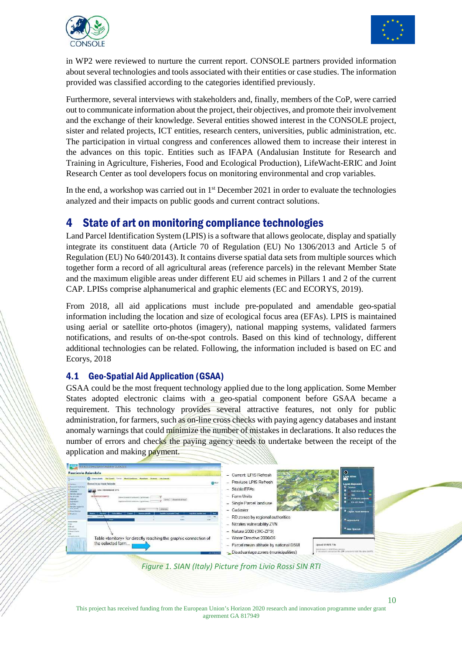



in WP2 were reviewed to nurture the current report. CONSOLE partners provided information about several technologies and tools associated with their entities or case studies. The information provided was classified according to the categories identified previously.

Furthermore, several interviews with stakeholders and, finally, members of the CoP, were carried out to communicate information about the project, their objectives, and promote their involvement and the exchange of their knowledge. Several entities showed interest in the CONSOLE project, sister and related projects, ICT entities, research centers, universities, public administration, etc. The participation in virtual congress and conferences allowed them to increase their interest in the advances on this topic. Entities such as IFAPA (Andalusian Institute for Research and Training in Agriculture, Fisheries, Food and Ecological Production), LifeWacht-ERIC and Joint Research Center as tool developers focus on monitoring environmental and crop variables.

In the end, a workshop was carried out in 1<sup>st</sup> December 2021 in order to evaluate the technologies analyzed and their impacts on public goods and current contract solutions.

## 4 State of art on monitoring compliance technologies

Land Parcel Identification System (LPIS) is a software that allows geolocate, display and spatially integrate its constituent data (Article 70 of Regulation (EU) No 1306/2013 and Article 5 of Regulation (EU) No 640/20143). It contains diverse spatial data sets from multiple sources which together form a record of all agricultural areas (reference parcels) in the relevant Member State and the maximum eligible areas under different EU aid schemes in Pillars 1 and 2 of the current CAP. LPISs comprise alphanumerical and graphic elements (EC and ECORYS, 2019).

From 2018, all aid applications must include pre-populated and amendable geo-spatial information including the location and size of ecological focus area (EFAs). LPIS is maintained using aerial or satellite orto-photos (imagery), national mapping systems, validated farmers notifications, and results of on-the-spot controls. Based on this kind of technology, different additional technologies can be related. Following, the information included is based on EC and Ecorys, 2018

## 4.1 Geo-Spatial Aid Application (GSAA)

GSAA could be the most frequent technology applied due to the long application. Some Member States adopted electronic claims with a geo-spatial component before GSAA became a requirement. This technology provides several attractive features, not only for public administration, for farmers, such as on-line cross checks with paying agency databases and instant anomaly warnings that could minimize the number of mistakes in declarations. It also reduces the number of errors and checks the paying agency needs to undertake between the receipt of the application and making payment.

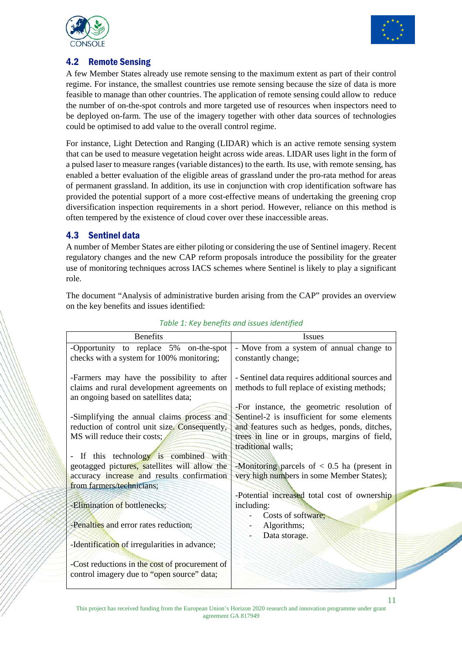



## 4.2 Remote Sensing

A few Member States already use remote sensing to the maximum extent as part of their control regime. For instance, the smallest countries use remote sensing because the size of data is more feasible to manage than other countries. The application of remote sensing could allow to reduce the number of on-the-spot controls and more targeted use of resources when inspectors need to be deployed on-farm. The use of the imagery together with other data sources of technologies could be optimised to add value to the overall control regime.

For instance, Light Detection and Ranging (LIDAR) which is an active remote sensing system that can be used to measure vegetation height across wide areas. LIDAR uses light in the form of a pulsed laser to measure ranges (variable distances) to the earth. Its use, with remote sensing, has enabled a better evaluation of the eligible areas of grassland under the pro-rata method for areas of permanent grassland. In addition, its use in conjunction with crop identification software has provided the potential support of a more cost-effective means of undertaking the greening crop diversification inspection requirements in a short period. However, reliance on this method is often tempered by the existence of cloud cover over these inaccessible areas.

## 4.3 Sentinel data

A number of Member States are either piloting or considering the use of Sentinel imagery. Recent regulatory changes and the new CAP reform proposals introduce the possibility for the greater use of monitoring techniques across IACS schemes where Sentinel is likely to play a significant role.

The document "Analysis of administrative burden arising from the CAP" provides an overview on the key benefits and issues identified:

| <b>Benefits</b>                                | <b>Issues</b>                                   |  |
|------------------------------------------------|-------------------------------------------------|--|
| -Opportunity to replace 5% on-the-spot         | - Move from a system of annual change to        |  |
| checks with a system for 100% monitoring;      | constantly change;                              |  |
|                                                |                                                 |  |
| -Farmers may have the possibility to after     | - Sentinel data requires additional sources and |  |
| claims and rural development agreements on     | methods to full replace of existing methods;    |  |
| an ongoing based on satellites data;           |                                                 |  |
|                                                | -For instance, the geometric resolution of      |  |
| -Simplifying the annual claims process and     | Sentinel-2 is insufficient for some elements    |  |
| reduction of control unit size. Consequently,  | and features such as hedges, ponds, ditches,    |  |
| MS will reduce their costs;                    | trees in line or in groups, margins of field,   |  |
|                                                | traditional walls;                              |  |
| If this technology is combined with            |                                                 |  |
| geotagged pictures, satellites will allow the  | -Monitoring parcels of $< 0.5$ ha (present in   |  |
| accuracy increase and results confirmation     | very high numbers in some Member States);       |  |
| from farmers/technicians;                      |                                                 |  |
|                                                | -Potential increased total cost of ownership    |  |
| -Elimination of bottlenecks:                   | including:                                      |  |
|                                                | Costs of software;                              |  |
| -Penalties and error rates reduction;          | Algorithms;                                     |  |
|                                                | Data storage.                                   |  |
| -Identification of irregularities in advance;  |                                                 |  |
|                                                |                                                 |  |
| -Cost reductions in the cost of procurement of |                                                 |  |
| control imagery due to "open source" data;     |                                                 |  |
|                                                |                                                 |  |

#### *Table 1: Key benefits and issues identified*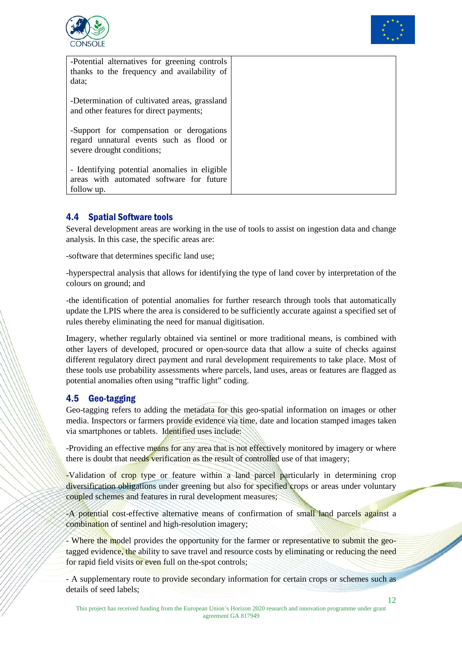



| -Potential alternatives for greening controls<br>thanks to the frequency and availability of<br>data;              |  |
|--------------------------------------------------------------------------------------------------------------------|--|
| -Determination of cultivated areas, grassland<br>and other features for direct payments;                           |  |
| -Support for compensation or derogations<br>regard unnatural events such as flood or<br>severe drought conditions; |  |
| - Identifying potential anomalies in eligible<br>areas with automated software for future<br>follow up.            |  |

## 4.4 Spatial Software tools

Several development areas are working in the use of tools to assist on ingestion data and change analysis. In this case, the specific areas are:

-software that determines specific land use;

-hyperspectral analysis that allows for identifying the type of land cover by interpretation of the colours on ground; and

-the identification of potential anomalies for further research through tools that automatically update the LPIS where the area is considered to be sufficiently accurate against a specified set of rules thereby eliminating the need for manual digitisation.

Imagery, whether regularly obtained via sentinel or more traditional means, is combined with other layers of developed, procured or open-source data that allow a suite of checks against different regulatory direct payment and rural development requirements to take place. Most of these tools use probability assessments where parcels, land uses, areas or features are flagged as potential anomalies often using "traffic light" coding.

## 4.5 Geo-tagging

Geo-tagging refers to adding the metadata for this geo-spatial information on images or other media. Inspectors or farmers provide evidence via time, date and location stamped images taken via smartphones or tablets. Identified uses include:

-Providing an effective means for any area that is not effectively monitored by imagery or where there is doubt that needs verification as the result of controlled use of that imagery;

-Validation of crop type or feature within a land parcel particularly in determining crop diversification obligations under greening but also for specified crops or areas under voluntary coupled schemes and features in rural development measures;

-A potential cost-effective alternative means of confirmation of small land parcels against a combination of sentinel and high-resolution imagery;

- Where the model provides the opportunity for the farmer or representative to submit the geotagged evidence, the ability to save travel and resource costs by eliminating or reducing the need for rapid field visits or even full on the-spot controls;

- A supplementary route to provide secondary information for certain crops or schemes such as details of seed labels;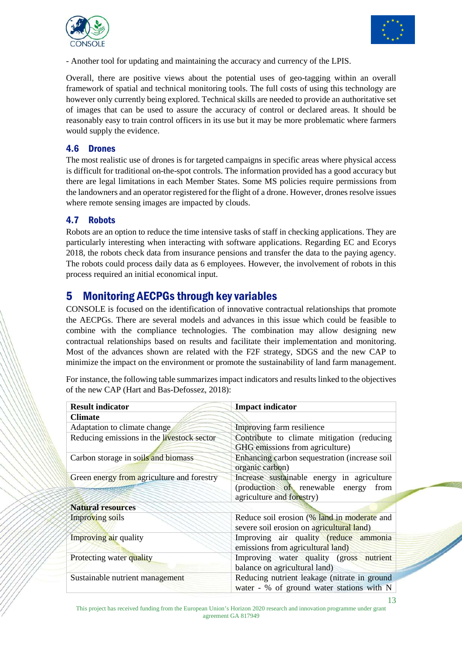



- Another tool for updating and maintaining the accuracy and currency of the LPIS.

Overall, there are positive views about the potential uses of geo-tagging within an overall framework of spatial and technical monitoring tools. The full costs of using this technology are however only currently being explored. Technical skills are needed to provide an authoritative set of images that can be used to assure the accuracy of control or declared areas. It should be reasonably easy to train control officers in its use but it may be more problematic where farmers would supply the evidence.

## 4.6 Drones

The most realistic use of drones is for targeted campaigns in specific areas where physical access is difficult for traditional on-the-spot controls. The information provided has a good accuracy but there are legal limitations in each Member States. Some MS policies require permissions from the landowners and an operator registered for the flight of a drone. However, drones resolve issues where remote sensing images are impacted by clouds.

## 4.7 Robots

Robots are an option to reduce the time intensive tasks of staff in checking applications. They are particularly interesting when interacting with software applications. Regarding EC and Ecorys 2018, the robots check data from insurance pensions and transfer the data to the paying agency. The robots could process daily data as 6 employees. However, the involvement of robots in this process required an initial economical input.

## 5 Monitoring AECPGs through key variables

CONSOLE is focused on the identification of innovative contractual relationships that promote the AECPGs. There are several models and advances in this issue which could be feasible to combine with the compliance technologies. The combination may allow designing new contractual relationships based on results and facilitate their implementation and monitoring. Most of the advances shown are related with the F2F strategy, SDGS and the new CAP to minimize the impact on the environment or promote the sustainability of land farm management.

For instance, the following table summarizes impact indicators and results linked to the objectives of the new CAP (Hart and Bas-Defossez, 2018):

| <b>Result indicator</b>                    | <b>Impact indicator</b>                                                                                            |  |  |
|--------------------------------------------|--------------------------------------------------------------------------------------------------------------------|--|--|
| <b>Climate</b>                             |                                                                                                                    |  |  |
| Adaptation to climate change               | Improving farm resilience                                                                                          |  |  |
| Reducing emissions in the livestock sector | Contribute to climate mitigation (reducing<br>GHG emissions from agriculture)                                      |  |  |
| Carbon storage in soils and biomass        | Enhancing carbon sequestration (increase soil<br>organic carbon)                                                   |  |  |
| Green energy from agriculture and forestry | Increase sustainable energy in agriculture<br>(production of renewable energy<br>from<br>agriculture and forestry) |  |  |
| <b>Natural resources</b>                   |                                                                                                                    |  |  |
| <b>Improving soils</b>                     | Reduce soil erosion (% land in moderate and<br>severe soil erosion on agricultural land)                           |  |  |
| Improving air quality                      | Improving air quality (reduce ammonia<br>emissions from agricultural land)                                         |  |  |
| Protecting water quality                   | Improving water quality (gross nutrient<br>balance on agricultural land)                                           |  |  |
| Sustainable nutrient management            | Reducing nutrient leakage (nitrate in ground<br>water - % of ground water stations with N                          |  |  |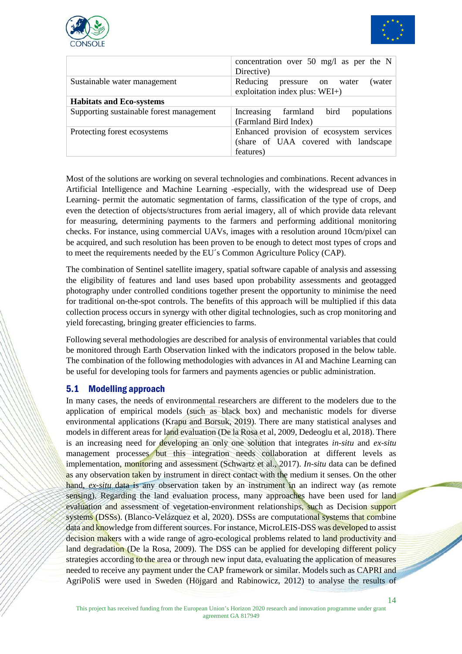



|                                          | concentration over 50 mg/l as per the N<br>Directive)                                         |
|------------------------------------------|-----------------------------------------------------------------------------------------------|
| Sustainable water management             | Reducing<br>(water<br>water<br>pressure on<br>exploitation index plus: $WEI+)$                |
| <b>Habitats and Eco-systems</b>          |                                                                                               |
| Supporting sustainable forest management | bird<br>Increasing<br>farmland<br>populations<br>(Farmland Bird Index)                        |
| Protecting forest ecosystems             | Enhanced provision of ecosystem services<br>(share of UAA covered with landscape<br>features) |

Most of the solutions are working on several technologies and combinations. Recent advances in Artificial Intelligence and Machine Learning -especially, with the widespread use of Deep Learning- permit the automatic segmentation of farms, classification of the type of crops, and even the detection of objects/structures from aerial imagery, all of which provide data relevant for measuring, determining payments to the farmers and performing additional monitoring checks. For instance, using commercial UAVs, images with a resolution around 10cm/pixel can be acquired, and such resolution has been proven to be enough to detect most types of crops and to meet the requirements needed by the EU´s Common Agriculture Policy (CAP).

The combination of Sentinel satellite imagery, spatial software capable of analysis and assessing the eligibility of features and land uses based upon probability assessments and geotagged photography under controlled conditions together present the opportunity to minimise the need for traditional on-the-spot controls. The benefits of this approach will be multiplied if this data collection process occurs in synergy with other digital technologies, such as crop monitoring and yield forecasting, bringing greater efficiencies to farms.

Following several methodologies are described for analysis of environmental variables that could be monitored through Earth Observation linked with the indicators proposed in the below table. The combination of the following methodologies with advances in AI and Machine Learning can be useful for developing tools for farmers and payments agencies or public administration.

## 5.1 Modelling approach

In many cases, the needs of environmental researchers are different to the modelers due to the application of empirical models (such as black box) and mechanistic models for diverse environmental applications (Krapu and Borsuk, 2019). There are many statistical analyses and models in different areas for land evaluation (De la Rosa et al, 2009, Dedeoglu et al, 2018). There is an increasing need for developing an only one solution that integrates *in-situ* and *ex-situ* management processes but this integration needs collaboration at different levels as implementation, monitoring and assessment (Schwartz et al., 2017). *In-situ* data can be defined as any observation taken by instrument in direct contact with the medium it senses. On the other hand, *ex-situ* data is any observation taken by an instrument in an indirect way (as remote sensing). Regarding the land evaluation process, many approaches have been used for land evaluation and assessment of vegetation-environment relationships, such as Decision support systems (DSSs). (Blanco-Velázquez et al, 2020). DSSs are computational systems that combine data and knowledge from different sources. For instance, MicroLEIS-DSS was developed to assist decision makers with a wide range of agro-ecological problems related to land productivity and land degradation (De la Rosa, 2009). The DSS can be applied for developing different policy strategies according to the area or through new input data, evaluating the application of measures needed to receive any payment under the CAP framework or similar. Models such as CAPRI and AgriPoliS were used in Sweden (Höjgard and Rabinowicz, 2012) to analyse the results of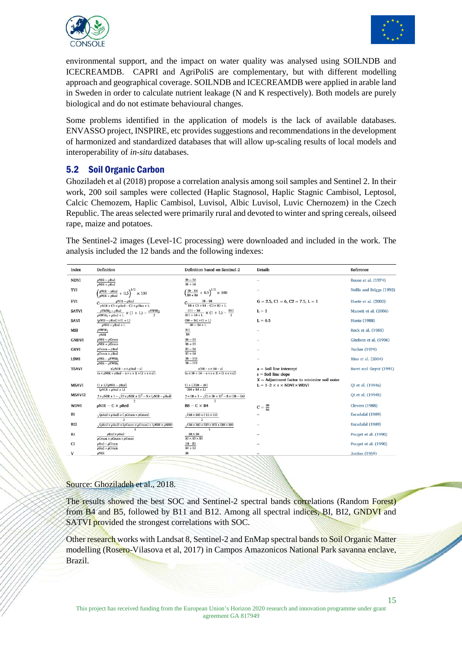



environmental support, and the impact on water quality was analysed using SOILNDB and ICECREAMDB. CAPRI and AgriPoliS are complementary, but with different modelling approach and geographical coverage. SOILNDB and ICECREAMDB were applied in arable land in Sweden in order to calculate nutrient leakage (N and K respectively). Both models are purely biological and do not estimate behavioural changes.

Some problems identified in the application of models is the lack of available databases. ENVASSO project, INSPIRE, etc provides suggestions and recommendations in the development of harmonized and standardized databases that will allow up-scaling results of local models and interoperability of *in-situ* databases.

## 5.2 Soil Organic Carbon

Ghoziladeh et al (2018) propose a correlation analysis among soil samples and Sentinel 2. In their work, 200 soil samples were collected (Haplic Stagnosol, Haplic Stagnic Cambisol, Leptosol, Calcic Chemozem, Haplic Cambisol, Luvisol, Albic Luvisol, Luvic Chernozem) in the Czech Republic. The areas selected were primarily rural and devoted to winter and spring cereals, oilseed rape, maize and potatoes.

The Sentinel-2 images (Level-1C processing) were downloaded and included in the work. The analysis included the 12 bands and the following indexes:

| Index        | Definition                                                                                                                            | Definition based on Sentinel-2                                                             | Details                                            | Reference                |
|--------------|---------------------------------------------------------------------------------------------------------------------------------------|--------------------------------------------------------------------------------------------|----------------------------------------------------|--------------------------|
| <b>NDVI</b>  | $\rho NIR - \rho Red$<br>$\rho NIR + \rho Red$                                                                                        | $BS - B4$<br>$BS + B4$                                                                     |                                                    | Rouse et al. (1974)      |
| TVI          | $\left(\frac{\rho \text{NIR} - \rho \text{Red}}{\rho \text{NIR} + \rho \text{Red}} + 0.5\right)^{1/2} \times 100$                     | $\left(\frac{BB - BA}{BB + BA} + 0.5\right)^{1/2} \times 100$                              |                                                    | Nellis and Briggs (1992) |
| <b>EVI</b>   | $G \frac{\rho NIR - \rho Red}{\rho NIR + Cl \times \rho Red - C2 \times \rho Blue + L}$                                               | $G \frac{BB - BA}{BB + C1 \times BA - C2 \times B2 + L}$                                   | $G = 2.5, C1 = 6, C2 = 7.5, L = 1$                 | Huete et al. (2002)      |
| <b>SATVI</b> | $\frac{\rho \text{SWIR}_1 - \rho \text{Red}}{\rho \text{SWIR}_1 + \rho \text{Red} + L} \times (1 + L) - \frac{\rho \text{SWIR}_2}{2}$ | $\frac{B11 - B4}{B11 + B4 + L} \times (1 + L) - \frac{B12}{2}$                             | $L = 1$                                            | Marsett et al. (2006)    |
| SAVI         | $\frac{(\rho NIR - \rho Red) \times (1 + L)}{\rho NIR - \rho Red + L}$                                                                | $\frac{(B8 - B4) \times (1 + L)}{B8 - B4 + L}$                                             | $L = 0.5$                                          | <b>Huete</b> (1988)      |
| <b>MSI</b>   | $\rho$ SWIR <sub>1</sub><br><b>oNIR</b>                                                                                               | $\frac{\text{B11}}{\text{B8}}$                                                             |                                                    | Rock et al. (1985)       |
| <b>GNDVI</b> | $\rho NIR - \rho G$ reen<br>$\rho NIR + \rho G$ reen                                                                                  | $BS - B3$<br>$BS + B3$                                                                     |                                                    | Gitelson et al. (1996)   |
| <b>GRVI</b>  | $\rho$ Green - $\rho$ Red<br>$\rho$ Green + $\rho$ Red                                                                                | $B3 - B4$<br>$B3 + B4$                                                                     |                                                    | <b>Tucker (1979)</b>     |
| <b>LSWI</b>  | $\rho NIR - \rho SWIR_1$<br>$\rho NIR - \rho SWIR_1$                                                                                  | $B8 - B11$<br>$BS - B11$                                                                   |                                                    | Xiao et al. (2004)       |
| <b>TSAVI</b> | $s(\rho NIR - s \times \rho Red - a)$<br>$(a \times \rho NIR + \rho Red - a \times s + X \times (1 + s \times s))$                    | $s(B8 - s \times B4 - a)$<br>$(a \times B8 + B4 - a \times s + X \times (1 + s \times s))$ | $a =$ Soil line intercept<br>$s =$ Soil line slope | Baret and Guyot (1991)   |
|              |                                                                                                                                       |                                                                                            | $X =$ Adjustment factor to minimize soil noise     |                          |
| <b>MSAVI</b> | $(1 + L)(\rho NIR - \rho Red)$<br>$(\rho NIR + \rho Red + L)$                                                                         | $(1 + L)(BB - B4)$<br>$(B8 + B4 + L)$                                                      | $L = 1-2 \times s \times NDVI \times WDVI$         | Oi et al. (1994a)        |
| MSAVI2       | $2 \times \rho NIR + 1 - \sqrt{(2 \times \rho NIR + 1)^2 - 8 \times (\rho NIR - \rho Red)}$                                           | $2 \times B8 + 1 - \sqrt{(2 \times B8 + 1)^2 - 8 \times (B8 - B4)}$<br>$\mathfrak{D}$      |                                                    | Oi et al. (1994b)        |
| <b>WDVI</b>  | $\rho NIR - C \times \rho Red$                                                                                                        | $B8 - C \times B4$                                                                         | $C = \frac{B8}{B4}$                                | <b>Clevers</b> (1988)    |
| BI           | $\sqrt{\rho(\text{Red} \times \rho \text{Red}) + (\rho \text{Green} \times \rho \text{Green})}$                                       | $\sqrt{(B4 \times B4) + (B3 \times B3)}$<br>$\overline{2}$                                 |                                                    | Escadafal (1989)         |
| <b>BI2</b>   | $\sqrt{\rho}$ Red $\times \rho$ Red) + ( $\rho$ Green $\times \rho$ Green) + ( $\rho$ NIR $\times \rho$ NIR)<br>$\mathbf{3}$          | $\sqrt{(BA \times B4) + (B3 \times B3) + (B8 \times B8)}$<br>$\overline{\mathcal{X}}$      |                                                    | Escadafal (1989)         |
| RI           | $\rho$ Red $\times \rho$ Red<br>$\rho$ Green × $\rho$ Green × $\rho$ Green                                                            | $BA \times B4$<br>$R3 \times R3 \times R3$                                                 |                                                    | Pouget et al. (1990)     |
| <b>CI</b>    | $\rho$ Red – $\rho$ Green<br>$\rho$ Red + $\rho$ Green                                                                                | $BA - B3$<br>$B4 + B3$                                                                     |                                                    | Pouget et al. (1990)     |
| V            | $\rho NIR$                                                                                                                            | B8                                                                                         |                                                    | <b>Jordan</b> (1969)     |

#### Source: Ghoziladeh et al., 2018.

The results showed the best SOC and Sentinel-2 spectral bands correlations (Random Forest) from B<sub>4</sub> and B<sub>5</sub>, followed by B<sub>11</sub> and B<sub>12</sub>. Among all spectral indices, BI, B<sub>12</sub>, GNDVI and SATVI provided the strongest correlations with SOC.

Other research works with Landsat 8, Sentinel-2 and EnMap spectral bands to Soil Organic Matter modelling (Rosero-Vilasova et al, 2017) in Campos Amazonicos National Park savanna enclave, Brazil.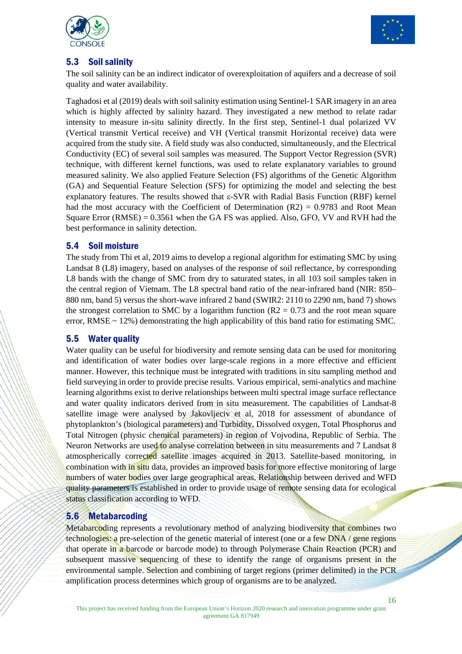



## 5.3 Soil salinity

The soil salinity can be an indirect indicator of overexploitation of aquifers and a decrease of soil quality and water availability.

Taghadosi et al (2019) deals with soil salinity estimation using Sentinel-1 SAR imagery in an area which is highly affected by salinity hazard. They investigated a new method to relate radar intensity to measure in-situ salinity directly. In the first step, Sentinel-1 dual polarized VV (Vertical transmit Vertical receive) and VH (Vertical transmit Horizontal receive) data were acquired from the study site. A field study was also conducted, simultaneously, and the Electrical Conductivity (EC) of several soil samples was measured. The Support Vector Regression (SVR) technique, with different kernel functions, was used to relate explanatory variables to ground measured salinity. We also applied Feature Selection (FS) algorithms of the Genetic Algorithm (GA) and Sequential Feature Selection (SFS) for optimizing the model and selecting the best explanatory features. The results showed that ε-SVR with Radial Basis Function (RBF) kernel had the most accuracy with the Coefficient of Determination  $(R2) = 0.9783$  and Root Mean Square Error  $(RMSE) = 0.3561$  when the GA FS was applied. Also, GFO, VV and RVH had the best performance in salinity detection.

#### 5.4 Soil moisture

The study from Thi et al, 2019 aims to develop a regional algorithm for estimating SMC by using Landsat 8 (L8) imagery, based on analyses of the response of soil reflectance, by corresponding L8 bands with the change of SMC from dry to saturated states, in all 103 soil samples taken in the central region of Vietnam. The L8 spectral band ratio of the near-infrared band (NIR: 850– 880 nm, band 5) versus the short-wave infrared 2 band (SWIR2: 2110 to 2290 nm, band 7) shows the strongest correlation to SMC by a logarithm function ( $R2 = 0.73$  and the root mean square error, RMSE ~ 12%) demonstrating the high applicability of this band ratio for estimating SMC.

## 5.5 Water quality

Water quality can be useful for biodiversity and remote sensing data can be used for monitoring and identification of water bodies over large-scale regions in a more effective and efficient manner. However, this technique must be integrated with traditions in situ sampling method and field surveying in order to provide precise results. Various empirical, semi-analytics and machine learning algorithms exist to derive relationships between multi spectral image surface reflectance and water quality indicators derived from in situ measurement. The capabilities of Landsat-8 satellite image were analysed by Jakovljeciv et al, 2018 for assessment of abundance of phytoplankton's (biological parameters) and Turbidity, Dissolved oxygen, Total Phosphorus and Total Nitrogen (physic chemical parameters) in region of Vojvodina, Republic of Serbia. The Neuron Networks are used to analyse correlation between in situ measurements and 7 Landsat 8 atmospherically corrected satellite images acquired in 2013. Satellite-based monitoring, in combination with in situ data, provides an improved basis for more effective monitoring of large numbers of water bodies over large geographical areas. Relationship between derived and WFD quality parameters is established in order to provide usage of remote sensing data for ecological status classification according to WFD.

## 5.6 Metabarcoding

Metabarcoding represents a revolutionary method of analyzing biodiversity that combines two technologies: a pre-selection of the genetic material of interest (one or a few DNA / gene regions that operate in a barcode or barcode mode) to through Polymerase Chain Reaction (PCR) and subsequent massive sequencing of these to identify the range of organisms present in the environmental sample. Selection and combining of target regions (primer delimited) in the PCR amplification process determines which group of organisms are to be analyzed.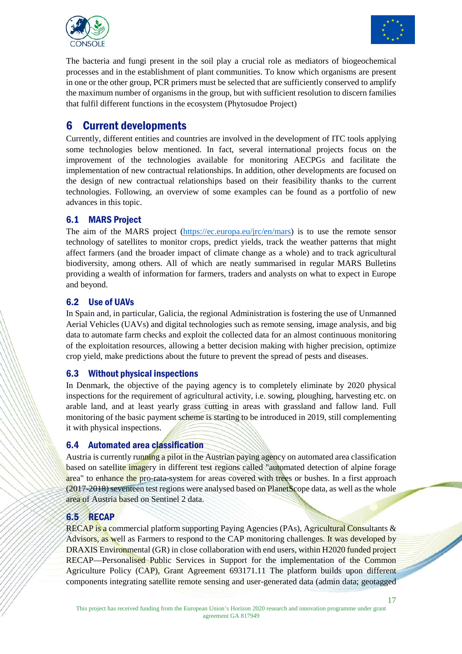



The bacteria and fungi present in the soil play a crucial role as mediators of biogeochemical processes and in the establishment of plant communities. To know which organisms are present in one or the other group, PCR primers must be selected that are sufficiently conserved to amplify the maximum number of organisms in the group, but with sufficient resolution to discern families that fulfil different functions in the ecosystem (Phytosudoe Project)

## 6 Current developments

Currently, different entities and countries are involved in the development of ITC tools applying some technologies below mentioned. In fact, several international projects focus on the improvement of the technologies available for monitoring AECPGs and facilitate the implementation of new contractual relationships. In addition, other developments are focused on the design of new contractual relationships based on their feasibility thanks to the current technologies. Following, an overview of some examples can be found as a portfolio of new advances in this topic.

## 6.1 MARS Project

The aim of the MARS project (https://ec.europa.eu/jrc/en/mars) is to use the remote sensor technology of satellites to monitor crops, predict yields, track the weather patterns that might affect farmers (and the broader impact of climate change as a whole) and to track agricultural biodiversity, among others. All of which are neatly summarised in regular MARS Bulletins providing a wealth of information for farmers, traders and analysts on what to expect in Europe and beyond.

## 6.2 Use of UAVs

In Spain and, in particular, Galicia, the regional Administration is fostering the use of Unmanned Aerial Vehicles (UAVs) and digital technologies such as remote sensing, image analysis, and big data to automate farm checks and exploit the collected data for an almost continuous monitoring of the exploitation resources, allowing a better decision making with higher precision, optimize crop yield, make predictions about the future to prevent the spread of pests and diseases.

## 6.3 Without physical inspections

In Denmark, the objective of the paying agency is to completely eliminate by 2020 physical inspections for the requirement of agricultural activity, i.e. sowing, ploughing, harvesting etc. on arable land, and at least yearly grass cutting in areas with grassland and fallow land. Full monitoring of the basic payment scheme is starting to be introduced in 2019, still complementing it with physical inspections.

## 6.4 Automated area classification

Austria is currently running a pilot in the Austrian paying agency on automated area classification based on satellite imagery in different test regions called "automated detection of alpine forage area" to enhance the pro-rata-system for areas covered with trees or bushes. In a first approach (2017-2018) seventeen test regions were analysed based on PlanetScope data, as well as the whole area of Austria based on Sentinel 2 data.

## 6.5 RECAP

RECAP is a commercial platform supporting Paying Agencies (PAs), Agricultural Consultants & Advisors, as well as Farmers to respond to the CAP monitoring challenges. It was developed by DRAXIS Environmental (GR) in close collaboration with end users, within H2020 funded project RECAP—Personalised Public Services in Support for the implementation of the Common Agriculture Policy (CAP), Grant Agreement 693171.11 The platform builds upon different components integrating satellite remote sensing and user-generated data (admin data; geotagged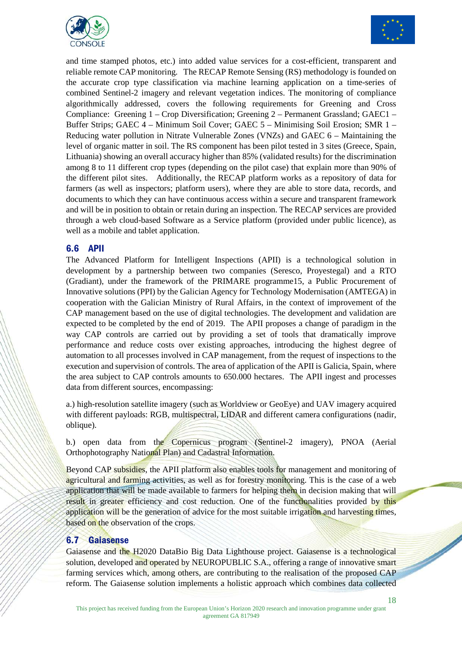



and time stamped photos, etc.) into added value services for a cost-efficient, transparent and reliable remote CAP monitoring. The RECAP Remote Sensing (RS) methodology is founded on the accurate crop type classification via machine learning application on a time-series of combined Sentinel-2 imagery and relevant vegetation indices. The monitoring of compliance algorithmically addressed, covers the following requirements for Greening and Cross Compliance: Greening 1 – Crop Diversification; Greening 2 – Permanent Grassland; GAEC1 – Buffer Strips; GAEC 4 – Minimum Soil Cover; GAEC 5 – Minimising Soil Erosion; SMR 1 – Reducing water pollution in Nitrate Vulnerable Zones (VNZs) and GAEC 6 – Maintaining the level of organic matter in soil. The RS component has been pilot tested in 3 sites (Greece, Spain, Lithuania) showing an overall accuracy higher than 85% (validated results) for the discrimination among 8 to 11 different crop types (depending on the pilot case) that explain more than 90% of the different pilot sites. Additionally, the RECAP platform works as a repository of data for farmers (as well as inspectors; platform users), where they are able to store data, records, and documents to which they can have continuous access within a secure and transparent framework and will be in position to obtain or retain during an inspection. The RECAP services are provided through a web cloud-based Software as a Service platform (provided under public licence), as well as a mobile and tablet application.

#### 6.6 APII

The Advanced Platform for Intelligent Inspections (APII) is a technological solution in development by a partnership between two companies (Seresco, Proyestegal) and a RTO (Gradiant), under the framework of the PRIMARE programme15, a Public Procurement of Innovative solutions (PPI) by the Galician Agency for Technology Modernisation (AMTEGA) in cooperation with the Galician Ministry of Rural Affairs, in the context of improvement of the CAP management based on the use of digital technologies. The development and validation are expected to be completed by the end of 2019. The APII proposes a change of paradigm in the way CAP controls are carried out by providing a set of tools that dramatically improve performance and reduce costs over existing approaches, introducing the highest degree of automation to all processes involved in CAP management, from the request of inspections to the execution and supervision of controls. The area of application of the APII is Galicia, Spain, where the area subject to CAP controls amounts to 650.000 hectares. The APII ingest and processes data from different sources, encompassing:

a.) high-resolution satellite imagery (such as Worldview or GeoEye) and UAV imagery acquired with different payloads: RGB, multispectral, LIDAR and different camera configurations (nadir, oblique).

b.) open data from the Copernicus program (Sentinel-2 imagery), PNOA (Aerial Orthophotography National Plan) and Cadastral Information.

Beyond CAP subsidies, the APII platform also enables tools for management and monitoring of agricultural and farming activities, as well as for forestry monitoring. This is the case of a web application that will be made available to farmers for helping them in decision making that will result in greater efficiency and cost reduction. One of the functionalities provided by this application will be the generation of advice for the most suitable irrigation and harvesting times, based on the observation of the crops.

#### 6.7 Gaiasense

Gaiasense and the H2020 DataBio Big Data Lighthouse project. Gaiasense is a technological solution, developed and operated by NEUROPUBLIC S.A., offering a range of innovative smart farming services which, among others, are contributing to the realisation of the proposed CAP reform. The Gaiasense solution implements a holistic approach which combines data collected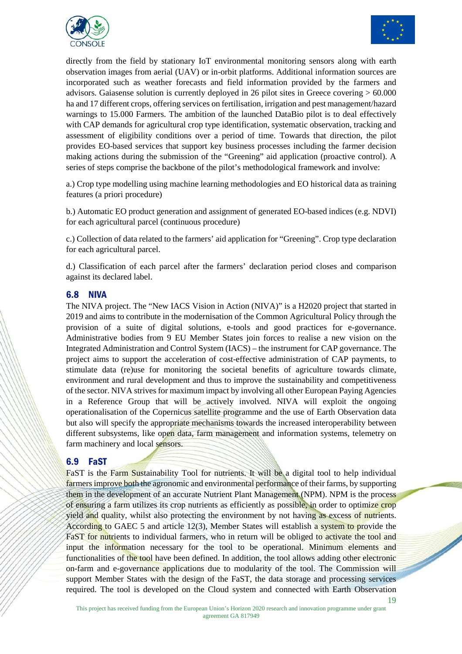



directly from the field by stationary IoT environmental monitoring sensors along with earth observation images from aerial (UAV) or in-orbit platforms. Additional information sources are incorporated such as weather forecasts and field information provided by the farmers and advisors. Gaiasense solution is currently deployed in 26 pilot sites in Greece covering > 60.000 ha and 17 different crops, offering services on fertilisation, irrigation and pest management/hazard warnings to 15.000 Farmers. The ambition of the launched DataBio pilot is to deal effectively with CAP demands for agricultural crop type identification, systematic observation, tracking and assessment of eligibility conditions over a period of time. Towards that direction, the pilot provides EO-based services that support key business processes including the farmer decision making actions during the submission of the "Greening" aid application (proactive control). A series of steps comprise the backbone of the pilot's methodological framework and involve:

a.) Crop type modelling using machine learning methodologies and EO historical data as training features (a priori procedure)

b.) Automatic EO product generation and assignment of generated EO-based indices (e.g. NDVI) for each agricultural parcel (continuous procedure)

c.) Collection of data related to the farmers' aid application for "Greening". Crop type declaration for each agricultural parcel.

d.) Classification of each parcel after the farmers' declaration period closes and comparison against its declared label.

#### 6.8 NIVA

The NIVA project. The "New IACS Vision in Action (NIVA)" is a H2020 project that started in 2019 and aims to contribute in the modernisation of the Common Agricultural Policy through the provision of a suite of digital solutions, e-tools and good practices for e-governance. Administrative bodies from 9 EU Member States join forces to realise a new vision on the Integrated Administration and Control System (IACS) – the instrument for CAP governance. The project aims to support the acceleration of cost-effective administration of CAP payments, to stimulate data (re)use for monitoring the societal benefits of agriculture towards climate, environment and rural development and thus to improve the sustainability and competitiveness of the sector. NIVA strives for maximum impact by involving all other European Paying Agencies in a Reference Group that will be actively involved. NIVA will exploit the ongoing operationalisation of the Copernicus satellite programme and the use of Earth Observation data but also will specify the appropriate mechanisms towards the increased interoperability between different subsystems, like open data, farm management and information systems, telemetry on farm machinery and local sensors.

## 6.9 FaST

FaST is the Farm Sustainability Tool for nutrients. It will be a digital tool to help individual farmers improve both the agronomic and environmental performance of their farms, by supporting them in the development of an accurate Nutrient Plant Management (NPM). NPM is the process of ensuring a farm utilizes its crop nutrients as efficiently as possible, in order to optimize crop yield and quality, whilst also protecting the environment by not having as excess of nutrients. According to GAEC 5 and article 12(3), Member States will establish a system to provide the FaST for nutrients to individual farmers, who in return will be obliged to activate the tool and input the information necessary for the tool to be operational. Minimum elements and functionalities of the tool have been defined. In addition, the tool allows adding other electronic on-farm and e-governance applications due to modularity of the tool. The Commission will support Member States with the design of the FaST, the data storage and processing services required. The tool is developed on the Cloud system and connected with Earth Observation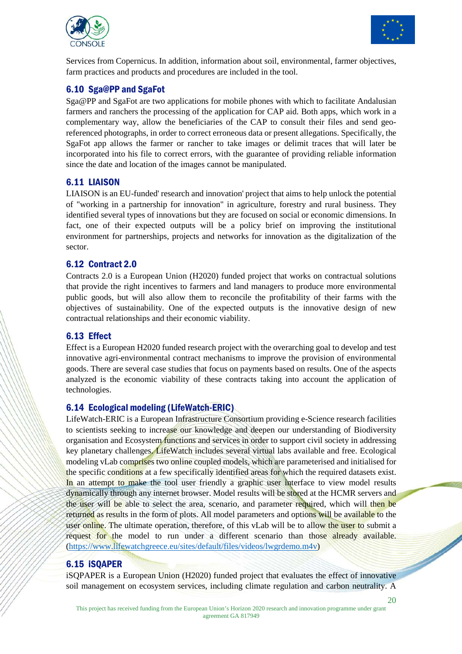



Services from Copernicus. In addition, information about soil, environmental, farmer objectives, farm practices and products and procedures are included in the tool.

## 6.10 Sga@PP and SgaFot

Sga@PP and SgaFot are two applications for mobile phones with which to facilitate Andalusian farmers and ranchers the processing of the application for CAP aid. Both apps, which work in a complementary way, allow the beneficiaries of the CAP to consult their files and send georeferenced photographs, in order to correct erroneous data or present allegations. Specifically, the SgaFot app allows the farmer or rancher to take images or delimit traces that will later be incorporated into his file to correct errors, with the guarantee of providing reliable information since the date and location of the images cannot be manipulated.

## 6.11 LIAISON

LIAISON is an EU-funded' research and innovation' project that aims to help unlock the potential of "working in a partnership for innovation" in agriculture, forestry and rural business. They identified several types of innovations but they are focused on social or economic dimensions. In fact, one of their expected outputs will be a policy brief on improving the institutional environment for partnerships, projects and networks for innovation as the digitalization of the sector.

#### 6.12 Contract 2.0

Contracts 2.0 is a European Union (H2020) funded project that works on contractual solutions that provide the right incentives to farmers and land managers to produce more environmental public goods, but will also allow them to reconcile the profitability of their farms with the objectives of sustainability. One of the expected outputs is the innovative design of new contractual relationships and their economic viability.

#### 6.13 Effect

Effect is a European H2020 funded research project with the overarching goal to develop and test innovative agri-environmental contract mechanisms to improve the provision of environmental goods. There are several case studies that focus on payments based on results. One of the aspects analyzed is the economic viability of these contracts taking into account the application of technologies.

#### 6.14 Ecological modeling (LifeWatch-ERIC)

LifeWatch-ERIC is a European Infrastructure Consortium providing e-Science research facilities to scientists seeking to increase our knowledge and deepen our understanding of Biodiversity organisation and Ecosystem functions and services in order to support civil society in addressing key planetary challenges. LifeWatch includes several virtual labs available and free. Ecological modeling vLab comprises two online coupled models, which are parameterised and initialised for the specific conditions at a few specifically identified areas for which the required datasets exist. In an attempt to make the tool user friendly a graphic user interface to view model results dynamically through any internet browser. Model results will be stored at the HCMR servers and the user will be able to select the area, scenario, and parameter required, which will then be returned as results in the form of plots. All model parameters and options will be available to the user online. The ultimate operation, therefore, of this vLab will be to allow the user to submit a request for the model to run under a different scenario than those already available. (https://www.lifewatchgreece.eu/sites/default/files/videos/lwgrdemo.m4v)

#### 6.15 iSQAPER

iSQPAPER is a European Union (H2020) funded project that evaluates the effect of innovative soil management on ecosystem services, including climate regulation and carbon neutrality. A

20

**September 1888**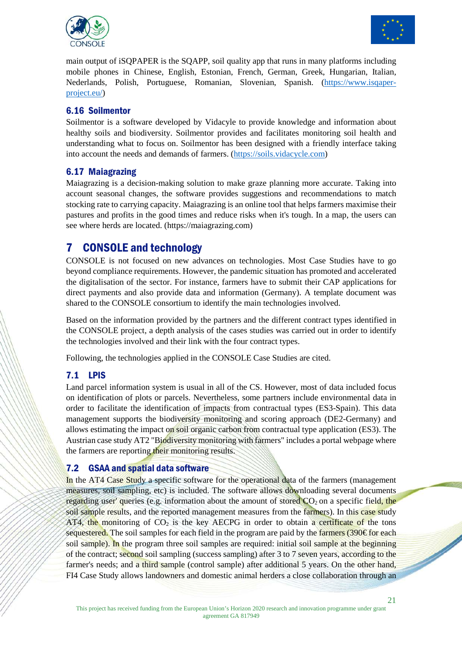



main output of iSQPAPER is the SQAPP, soil quality app that runs in many platforms including mobile phones in Chinese, English, Estonian, French, German, Greek, Hungarian, Italian, Nederlands, Polish, Portuguese, Romanian, Slovenian, Spanish. (https://www.isqaperproject.eu/)

## 6.16 Soilmentor

Soilmentor is a software developed by Vidacyle to provide knowledge and information about healthy soils and biodiversity. Soilmentor provides and facilitates monitoring soil health and understanding what to focus on. Soilmentor has been designed with a friendly interface taking into account the needs and demands of farmers. (https://soils.vidacycle.com)

## 6.17 Maiagrazing

Maiagrazing is a decision-making solution to make graze planning more accurate. Taking into account seasonal changes, the software provides suggestions and recommendations to match stocking rate to carrying capacity. Maiagrazing is an online tool that helps farmers maximise their pastures and profits in the good times and reduce risks when it's tough. In a map, the users can see where herds are located. (https://maiagrazing.com)

## 7 CONSOLE and technology

CONSOLE is not focused on new advances on technologies. Most Case Studies have to go beyond compliance requirements. However, the pandemic situation has promoted and accelerated the digitalisation of the sector. For instance, farmers have to submit their CAP applications for direct payments and also provide data and information (Germany). A template document was shared to the CONSOLE consortium to identify the main technologies involved.

Based on the information provided by the partners and the different contract types identified in the CONSOLE project, a depth analysis of the cases studies was carried out in order to identify the technologies involved and their link with the four contract types.

Following, the technologies applied in the CONSOLE Case Studies are cited.

## 7.1 LPIS

Land parcel information system is usual in all of the CS. However, most of data included focus on identification of plots or parcels. Nevertheless, some partners include environmental data in order to facilitate the identification of impacts from contractual types (ES3-Spain). This data management supports the biodiversity monitoring and scoring approach (DE2-Germany) and allows estimating the impact on soil organic carbon from contractual type application (ES3). The Austrian case study AT2 "Biodiversity monitoring with farmers" includes a portal webpage where the farmers are reporting their monitoring results.

## 7.2 GSAA and spatial data software

In the AT4 Case Study a specific software for the operational data of the farmers (management measures, soil sampling, etc) is included. The software allows downloading several documents regarding user' queries (e.g. information about the amount of stored CO<sub>2</sub> on a specific field, the soil sample results, and the reported management measures from the farmers). In this case study AT4, the monitoring of  $CO<sub>2</sub>$  is the key AECPG in order to obtain a certificate of the tons sequestered. The soil samples for each field in the program are paid by the farmers (390 $\epsilon$  for each soil sample). In the program three soil samples are required: initial soil sample at the beginning of the contract; second soil sampling (success sampling) after 3 to 7 seven years, according to the farmer's needs; and a third sample (control sample) after additional 5 years. On the other hand, FI4 Case Study allows landowners and domestic animal herders a close collaboration through an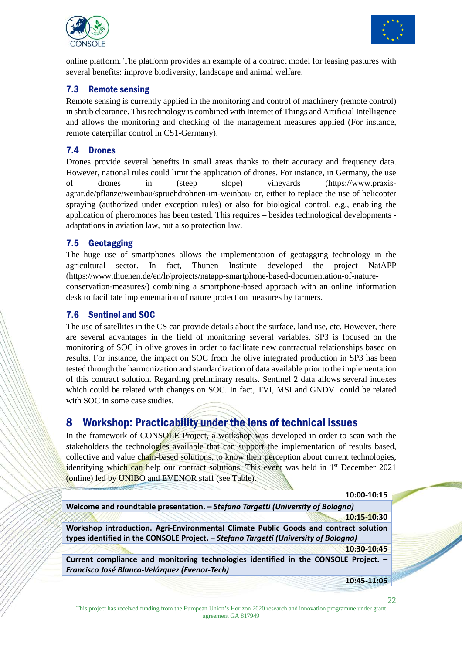



online platform. The platform provides an example of a contract model for leasing pastures with several benefits: improve biodiversity, landscape and animal welfare.

## 7.3 Remote sensing

Remote sensing is currently applied in the monitoring and control of machinery (remote control) in shrub clearance. This technology is combined with Internet of Things and Artificial Intelligence and allows the monitoring and checking of the management measures applied (For instance, remote caterpillar control in CS1-Germany).

## 7.4 Drones

Drones provide several benefits in small areas thanks to their accuracy and frequency data. However, national rules could limit the application of drones. For instance, in Germany, the use of drones in (steep slope) vineyards (https://www.praxisagrar.de/pflanze/weinbau/spruehdrohnen-im-weinbau/ or, either to replace the use of helicopter spraying (authorized under exception rules) or also for biological control, e.g., enabling the application of pheromones has been tested. This requires – besides technological developments adaptations in aviation law, but also protection law.

## 7.5 Geotagging

The huge use of smartphones allows the implementation of geotagging technology in the agricultural sector. In fact, Thunen Institute developed the project NatAPP (https://www.thuenen.de/en/lr/projects/natapp-smartphone-based-documentation-of-natureconservation-measures/) combining a smartphone-based approach with an online information desk to facilitate implementation of nature protection measures by farmers.

## 7.6 Sentinel and SOC

The use of satellites in the CS can provide details about the surface, land use, etc. However, there are several advantages in the field of monitoring several variables. SP3 is focused on the monitoring of SOC in olive groves in order to facilitate new contractual relationships based on results. For instance, the impact on SOC from the olive integrated production in SP3 has been tested through the harmonization and standardization of data available prior to the implementation of this contract solution. Regarding preliminary results. Sentinel 2 data allows several indexes which could be related with changes on SOC. In fact, TVI, MSI and GNDVI could be related with SOC in some case studies.

## 8 Workshop: Practicability under the lens of technical issues

In the framework of CONSOLE Project, a workshop was developed in order to scan with the stakeholders the technologies available that can support the implementation of results based, collective and value chain-based solutions, to know their perception about current technologies, identifying which can help our contract solutions. This event was held in 1<sup>st</sup> December 2021 (online) led by UNIBO and EVENOR staff (see Table).

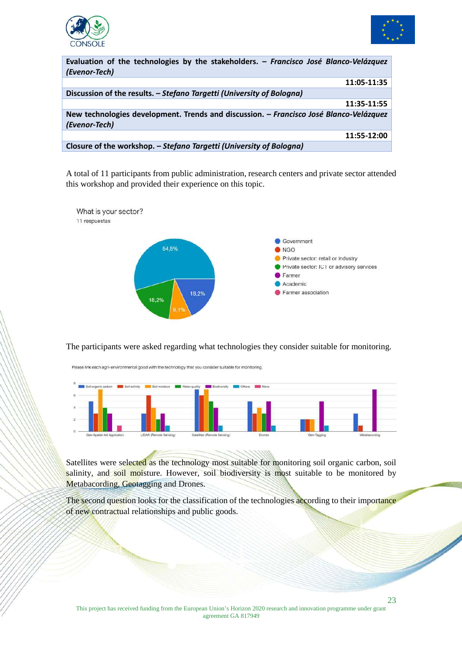



| Evaluation of the technologies by the stakeholders. - Francisco José Blanco-Velázquez<br>(Evenor-Tech)  |
|---------------------------------------------------------------------------------------------------------|
| 11:05-11:35                                                                                             |
| Discussion of the results. - Stefano Targetti (University of Bologna)                                   |
| 11:35-11:55                                                                                             |
| New technologies development. Trends and discussion. - Francisco José Blanco-Velázquez<br>(Evenor-Tech) |
| 11:55-12:00                                                                                             |
| Closure of the workshop. - Stefano Targetti (University of Bologna)                                     |

A total of 11 participants from public administration, research centers and private sector attended this workshop and provided their experience on this topic.



The participants were asked regarding what technologies they consider suitable for monitoring.

Please link each agri-environmental good with the technology that you consider suitable for monitoring.



Satellites were selected as the technology most suitable for monitoring soil organic carbon, soil salinity, and soil moisture. However, soil biodiversity is most suitable to be monitored by Metabacording, Geotagging and Drones.

The second question looks for the classification of the technologies according to their importance of new contractual relationships and public goods.

23

 $\overline{\phantom{a}}$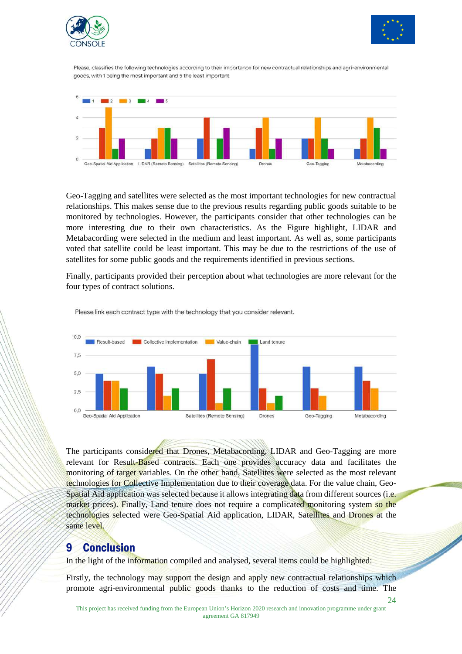



Please, classifies the following technologies according to their importance for new contractual relationships and agri-environmental goods, with 1 being the most important and 5 the least important



Geo-Tagging and satellites were selected as the most important technologies for new contractual relationships. This makes sense due to the previous results regarding public goods suitable to be monitored by technologies. However, the participants consider that other technologies can be more interesting due to their own characteristics. As the Figure highlight, LIDAR and Metabacording were selected in the medium and least important. As well as, some participants voted that satellite could be least important. This may be due to the restrictions of the use of satellites for some public goods and the requirements identified in previous sections.

Finally, participants provided their perception about what technologies are more relevant for the four types of contract solutions.



Please link each contract type with the technology that you consider relevant.

The participants considered that Drones, Metabacording, LIDAR and Geo-Tagging are more relevant for Result-Based contracts. Each one provides accuracy data and facilitates the monitoring of target variables. On the other hand, Satellites were selected as the most relevant technologies for Collective Implementation due to their coverage data. For the value chain, Geo-Spatial Aid application was selected because it allows integrating data from different sources (i.e. market prices). Finally, Land tenure does not require a complicated monitoring system so the technologies selected were Geo-Spatial Aid application, LIDAR, Satellites and Drones at the same level.

## 9 Conclusion

In the light of the information compiled and analysed, several items could be highlighted:

Firstly, the technology may support the design and apply new contractual relationships which promote agri-environmental public goods thanks to the reduction of costs and time. The d and de la distribution de la distribution de la distribution de la distribution de la distribution de la distribution de la distribution de la distribution de la distribution de la distribution de la distribution de la d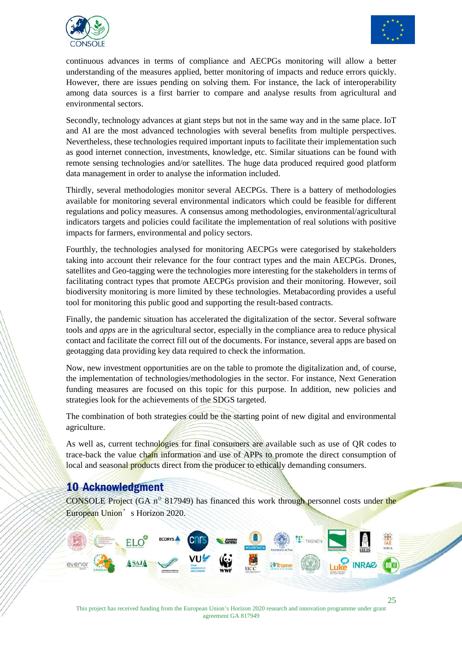



continuous advances in terms of compliance and AECPGs monitoring will allow a better understanding of the measures applied, better monitoring of impacts and reduce errors quickly. However, there are issues pending on solving them. For instance, the lack of interoperability among data sources is a first barrier to compare and analyse results from agricultural and environmental sectors.

Secondly, technology advances at giant steps but not in the same way and in the same place. IoT and AI are the most advanced technologies with several benefits from multiple perspectives. Nevertheless, these technologies required important inputs to facilitate their implementation such as good internet connection, investments, knowledge, etc. Similar situations can be found with remote sensing technologies and/or satellites. The huge data produced required good platform data management in order to analyse the information included.

Thirdly, several methodologies monitor several AECPGs. There is a battery of methodologies available for monitoring several environmental indicators which could be feasible for different regulations and policy measures. A consensus among methodologies, environmental/agricultural indicators targets and policies could facilitate the implementation of real solutions with positive impacts for farmers, environmental and policy sectors.

Fourthly, the technologies analysed for monitoring AECPGs were categorised by stakeholders taking into account their relevance for the four contract types and the main AECPGs. Drones, satellites and Geo-tagging were the technologies more interesting for the stakeholders in terms of facilitating contract types that promote AECPGs provision and their monitoring. However, soil biodiversity monitoring is more limited by these technologies. Metabacording provides a useful tool for monitoring this public good and supporting the result-based contracts.

Finally, the pandemic situation has accelerated the digitalization of the sector. Several software tools and *apps* are in the agricultural sector, especially in the compliance area to reduce physical contact and facilitate the correct fill out of the documents. For instance, several apps are based on geotagging data providing key data required to check the information.

Now, new investment opportunities are on the table to promote the digitalization and, of course, the implementation of technologies/methodologies in the sector. For instance, Next Generation funding measures are focused on this topic for this purpose. In addition, new policies and strategies look for the achievements of the SDGS targeted.

The combination of both strategies could be the starting point of new digital and environmental agriculture.

As well as, current technologies for final consumers are available such as use of QR codes to trace-back the value chain information and use of APPs to promote the direct consumption of local and seasonal products direct from the producer to ethically demanding consumers.

## 10 Acknowledgment

CONSOLE Project (GA nº 817949) has financed this work through personnel costs under the European Union<sup>'</sup>s Horizon 2020.

**BEE** THUNEN

25

BOKU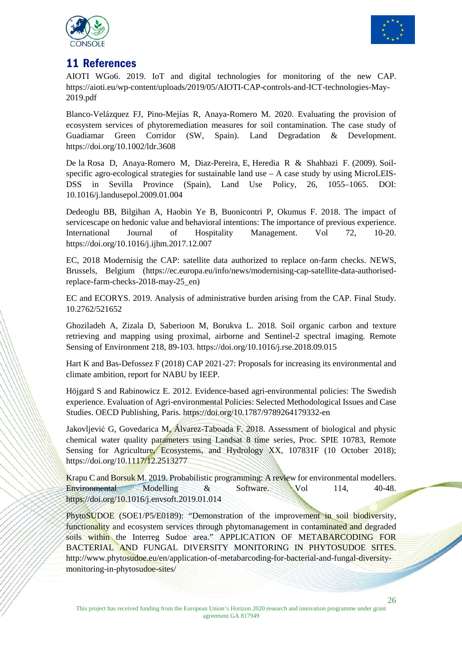



## 11 References

AIOTI WGo6. 2019. IoT and digital technologies for monitoring of the new CAP. https://aioti.eu/wp-content/uploads/2019/05/AIOTI-CAP-controls-and-ICT-technologies-May-2019.pdf

Blanco-Velázquez FJ, Pino-Mejías R, Anaya-Romero M. 2020. Evaluating the provision of ecosystem services of phytoremediation measures for soil contamination. The case study of Guadiamar Green Corridor (SW, Spain). Land Degradation & Development. https://doi.org/10.1002/ldr.3608

De la Rosa D, Anaya-Romero M, Diaz-Pereira, E, Heredia R & Shahbazi F. (2009). Soilspecific agro-ecological strategies for sustainable land use – A case study by using MicroLEIS-DSS in Sevilla Province (Spain), Land Use Policy, 26, 1055–1065. DOI: 10.1016/j.landusepol.2009.01.004

Dedeoglu BB, Bilgihan A, Haobin Ye B, Buonicontri P, Okumus F. 2018. The impact of servicescape on hedonic value and behavioral intentions: The importance of previous experience. International Journal of Hospitality Management. Vol 72, 10-20. https://doi.org/10.1016/j.ijhm.2017.12.007

EC, 2018 Modernisig the CAP: satellite data authorized to replace on-farm checks. NEWS, Brussels, Belgium (https://ec.europa.eu/info/news/modernising-cap-satellite-data-authorisedreplace-farm-checks-2018-may-25\_en)

EC and ECORYS. 2019. Analysis of administrative burden arising from the CAP. Final Study. 10.2762/521652

Ghoziladeh A, Zizala D, Saberioon M, Borukva L. 2018. Soil organic carbon and texture retrieving and mapping using proximal, airborne and Sentinel-2 spectral imaging. Remote Sensing of Environment 218, 89-103. https://doi.org/10.1016/j.rse.2018.09.015

Hart K and Bas-Defossez F (2018) CAP 2021-27: Proposals for increasing its environmental and climate ambition, report for NABU by IEEP.

Höjgard S and Rabinowicz E. 2012. Evidence-based agri-environmental policies: The Swedish experience. Evaluation of Agri-environmental Policies: Selected Methodological Issues and Case Studies. OECD Publishing, Paris. https://doi.org/10.1787/9789264179332-en

Jakovljević G, Govedarica M, Álvarez-Taboada F. 2018. Assessment of biological and physic chemical water quality parameters using Landsat 8 time series, Proc. SPIE 10783, Remote Sensing for Agriculture, Ecosystems, and Hydrology XX, 107831F (10 October 2018); https://doi.org/10.1117/12.2513277

Krapu C and Borsuk M. 2019. Probabilistic programming: A review for environmental modellers. Environmental Modelling & Software. Vol 114, 40-48. https://doi.org/10.1016/j.envsoft.2019.01.014

PhytoSUDOE (SOE1/P5/E0189): "Demonstration of the improvement in soil biodiversity, functionality and ecosystem services through phytomanagement in contaminated and degraded soils within the Interreg Sudoe area." APPLICATION OF METABARCODING FOR BACTERIAL AND FUNGAL DIVERSITY MONITORING IN PHYTOSUDOE SITES. http://www.phytosudoe.eu/en/application-of-metabarcoding-for-bacterial-and-fungal-diversitymonitoring-in-phytosudoe-sites/

26

Í